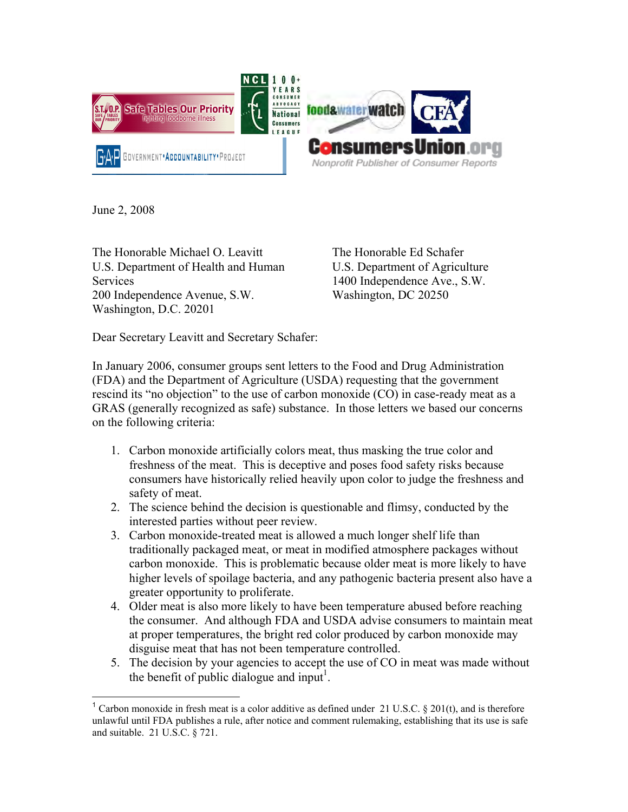

June 2, 2008

The Honorable Michael O. Leavitt U.S. Department of Health and Human **Services** 200 Independence Avenue, S.W. Washington, D.C. 20201

The Honorable Ed Schafer U.S. Department of Agriculture 1400 Independence Ave., S.W. Washington, DC 20250

Dear Secretary Leavitt and Secretary Schafer:

In January 2006, consumer groups sent letters to the Food and Drug Administration (FDA) and the Department of Agriculture (USDA) requesting that the government rescind its "no objection" to the use of carbon monoxide (CO) in case-ready meat as a GRAS (generally recognized as safe) substance. In those letters we based our concerns on the following criteria:

- 1. Carbon monoxide artificially colors meat, thus masking the true color and freshness of the meat. This is deceptive and poses food safety risks because consumers have historically relied heavily upon color to judge the freshness and safety of meat.
- 2. The science behind the decision is questionable and flimsy, conducted by the interested parties without peer review.
- 3. Carbon monoxide-treated meat is allowed a much longer shelf life than traditionally packaged meat, or meat in modified atmosphere packages without carbon monoxide. This is problematic because older meat is more likely to have higher levels of spoilage bacteria, and any pathogenic bacteria present also have a greater opportunity to proliferate.
- 4. Older meat is also more likely to have been temperature abused before reaching the consumer. And although FDA and USDA advise consumers to maintain meat at proper temperatures, the bright red color produced by carbon monoxide may disguise meat that has not been temperature controlled.
- 5. The decision by your agencies to accept the use of CO in meat was made without the benefit of public dialogue and input<sup>1</sup>.

<sup>1</sup> <sup>1</sup> Carbon monoxide in fresh meat is a color additive as defined under 21 U.S.C. § 201(t), and is therefore unlawful until FDA publishes a rule, after notice and comment rulemaking, establishing that its use is safe and suitable. 21 U.S.C. § 721.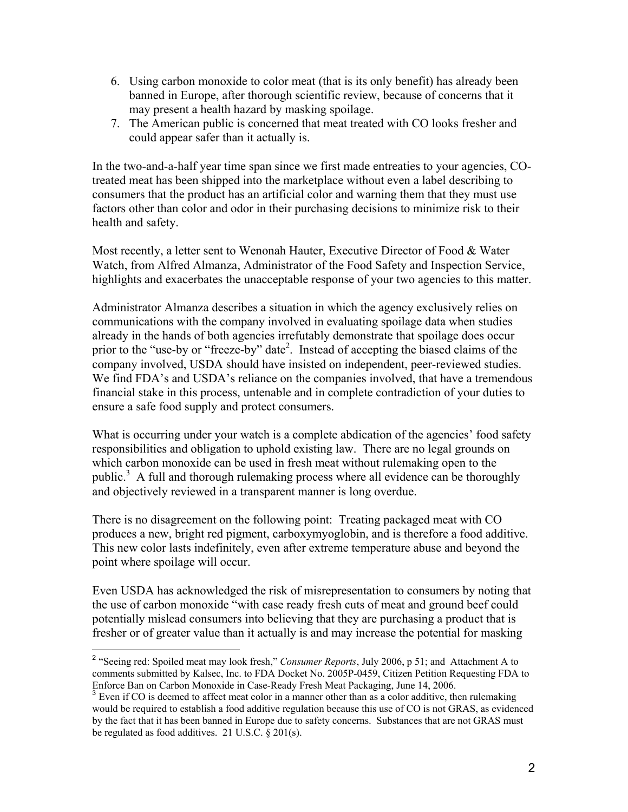- 6. Using carbon monoxide to color meat (that is its only benefit) has already been banned in Europe, after thorough scientific review, because of concerns that it may present a health hazard by masking spoilage.
- 7. The American public is concerned that meat treated with CO looks fresher and could appear safer than it actually is.

In the two-and-a-half year time span since we first made entreaties to your agencies, COtreated meat has been shipped into the marketplace without even a label describing to consumers that the product has an artificial color and warning them that they must use factors other than color and odor in their purchasing decisions to minimize risk to their health and safety.

Most recently, a letter sent to Wenonah Hauter, Executive Director of Food & Water Watch, from Alfred Almanza, Administrator of the Food Safety and Inspection Service, highlights and exacerbates the unacceptable response of your two agencies to this matter.

Administrator Almanza describes a situation in which the agency exclusively relies on communications with the company involved in evaluating spoilage data when studies already in the hands of both agencies irrefutably demonstrate that spoilage does occur prior to the "use-by or "freeze-by" date<sup>2</sup>. Instead of accepting the biased claims of the company involved, USDA should have insisted on independent, peer-reviewed studies. We find FDA's and USDA's reliance on the companies involved, that have a tremendous financial stake in this process, untenable and in complete contradiction of your duties to ensure a safe food supply and protect consumers.

What is occurring under your watch is a complete abdication of the agencies' food safety responsibilities and obligation to uphold existing law. There are no legal grounds on which carbon monoxide can be used in fresh meat without rulemaking open to the public.<sup>3</sup> A full and thorough rulemaking process where all evidence can be thoroughly and objectively reviewed in a transparent manner is long overdue.

There is no disagreement on the following point: Treating packaged meat with CO produces a new, bright red pigment, carboxymyoglobin, and is therefore a food additive. This new color lasts indefinitely, even after extreme temperature abuse and beyond the point where spoilage will occur.

Even USDA has acknowledged the risk of misrepresentation to consumers by noting that the use of carbon monoxide "with case ready fresh cuts of meat and ground beef could potentially mislead consumers into believing that they are purchasing a product that is fresher or of greater value than it actually is and may increase the potential for masking

 $\overline{a}$ <sup>2</sup> "Seeing red: Spoiled meat may look fresh," *Consumer Reports*, July 2006, p 51; and Attachment A to comments submitted by Kalsec, Inc. to FDA Docket No. 2005P-0459, Citizen Petition Requesting FDA to Enforce Ban on Carbon Monoxide in Case-Ready Fresh Meat Packaging, June 14, 2006.

<sup>&</sup>lt;sup>3</sup> Even if CO is deemed to affect meat color in a manner other than as a color additive, then rulemaking would be required to establish a food additive regulation because this use of CO is not GRAS, as evidenced by the fact that it has been banned in Europe due to safety concerns. Substances that are not GRAS must be regulated as food additives. 21 U.S.C. § 201(s).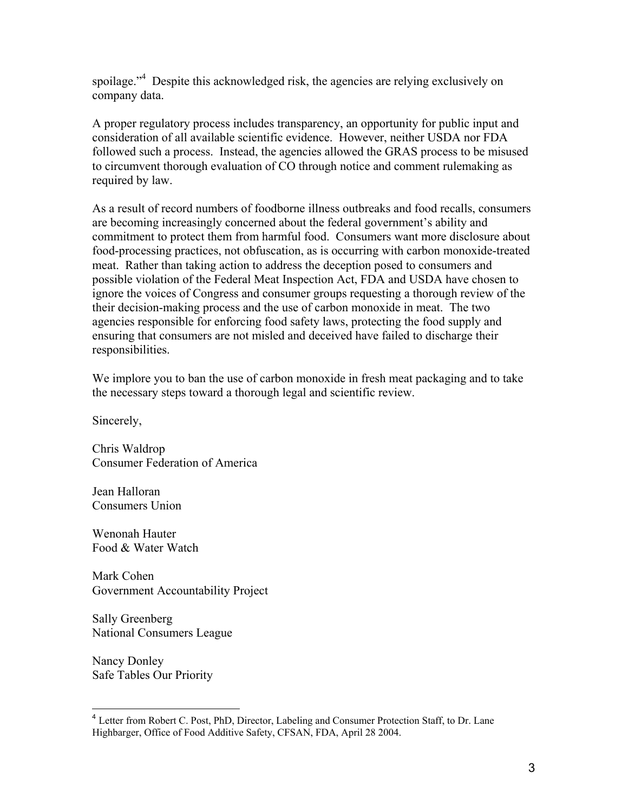spoilage."<sup>4</sup> Despite this acknowledged risk, the agencies are relying exclusively on company data.

A proper regulatory process includes transparency, an opportunity for public input and consideration of all available scientific evidence. However, neither USDA nor FDA followed such a process. Instead, the agencies allowed the GRAS process to be misused to circumvent thorough evaluation of CO through notice and comment rulemaking as required by law.

As a result of record numbers of foodborne illness outbreaks and food recalls, consumers are becoming increasingly concerned about the federal government's ability and commitment to protect them from harmful food. Consumers want more disclosure about food-processing practices, not obfuscation, as is occurring with carbon monoxide-treated meat. Rather than taking action to address the deception posed to consumers and possible violation of the Federal Meat Inspection Act, FDA and USDA have chosen to ignore the voices of Congress and consumer groups requesting a thorough review of the their decision-making process and the use of carbon monoxide in meat. The two agencies responsible for enforcing food safety laws, protecting the food supply and ensuring that consumers are not misled and deceived have failed to discharge their responsibilities.

We implore you to ban the use of carbon monoxide in fresh meat packaging and to take the necessary steps toward a thorough legal and scientific review.

Sincerely,

Chris Waldrop Consumer Federation of America

Jean Halloran Consumers Union

Wenonah Hauter Food & Water Watch

Mark Cohen Government Accountability Project

Sally Greenberg National Consumers League

Nancy Donley Safe Tables Our Priority

1

<sup>&</sup>lt;sup>4</sup> Letter from Robert C. Post, PhD, Director, Labeling and Consumer Protection Staff, to Dr. Lane Highbarger, Office of Food Additive Safety, CFSAN, FDA, April 28 2004.